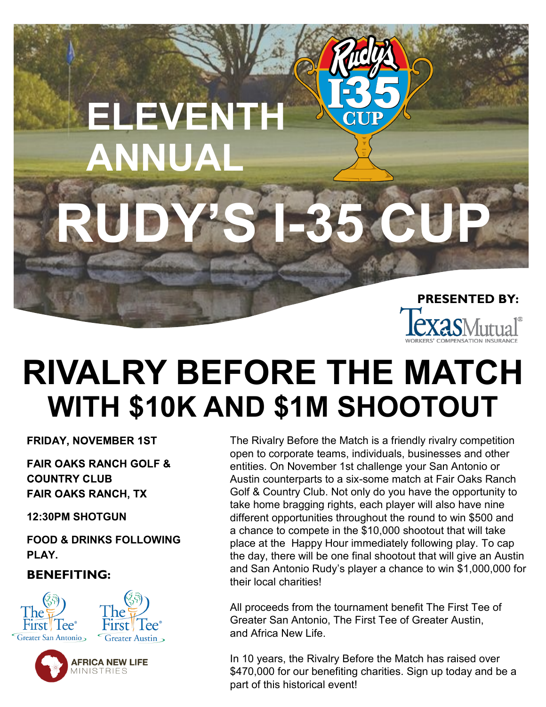# **RUDY'S I-35 CUP ELEVENTH ANNUAL PRESENTED BY:**

### **RIVALRY BEFORE THE MATCH WITH \$10K AND \$1M SHOOTOUT**

**FRIDAY, NOVEMBER 1ST** 

**FAIR OAKS RANCH GOLF & COUNTRY CLUB FAIR OAKS RANCH, TX** 

**12:30PM SHOTGUN**

**FOOD & DRINKS FOLLOWING PLAY.**

#### **BENEFITING:**







The Rivalry Before the Match is a friendly rivalry competition open to corporate teams, individuals, businesses and other entities. On November 1st challenge your San Antonio or Austin counterparts to a six-some match at Fair Oaks Ranch Golf & Country Club. Not only do you have the opportunity to take home bragging rights, each player will also have nine different opportunities throughout the round to win \$500 and a chance to compete in the \$10,000 shootout that will take place at the Happy Hour immediately following play. To cap the day, there will be one final shootout that will give an Austin and San Antonio Rudy's player a chance to win \$1,000,000 for their local charities!

All proceeds from the tournament benefit The First Tee of Greater San Antonio, The First Tee of Greater Austin, and Africa New Life.

In 10 years, the Rivalry Before the Match has raised over \$470,000 for our benefiting charities. Sign up today and be a part of this historical event!